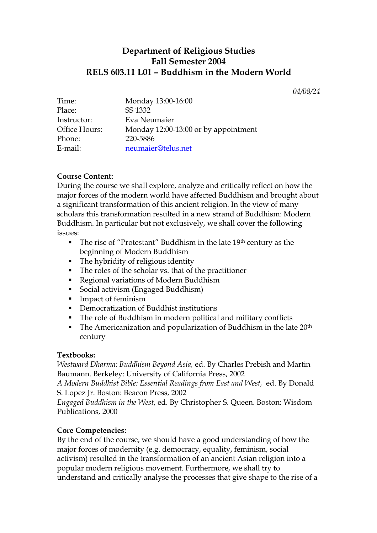# **Department of Religious Studies Fall Semester 2004 RELS 603.11 L01 – Buddhism in the Modern World**

*04/08/24* 

| Time:         | Monday 13:00-16:00                   |
|---------------|--------------------------------------|
| Place:        | SS 1332                              |
| Instructor:   | Eva Neumaier                         |
| Office Hours: | Monday 12:00-13:00 or by appointment |
| Phone:        | 220-5886                             |
| E-mail:       | neumaier@telus.net                   |

## **Course Content:**

During the course we shall explore, analyze and critically reflect on how the major forces of the modern world have affected Buddhism and brought about a significant transformation of this ancient religion. In the view of many scholars this transformation resulted in a new strand of Buddhism: Modern Buddhism. In particular but not exclusively, we shall cover the following issues:

- $\blacksquare$  The rise of "Protestant" Buddhism in the late 19<sup>th</sup> century as the beginning of Modern Buddhism
- The hybridity of religious identity
- The roles of the scholar vs. that of the practitioner
- Regional variations of Modern Buddhism
- Social activism (Engaged Buddhism)
- **Impact of feminism**
- Democratization of Buddhist institutions
- The role of Buddhism in modern political and military conflicts
- $\blacksquare$  The Americanization and popularization of Buddhism in the late 20<sup>th</sup> century

#### **Textbooks:**

*Westward Dharma: Buddhism Beyond Asia,* ed. By Charles Prebish and Martin Baumann. Berkeley: University of California Press, 2002

*A Modern Buddhist Bible: Essential Readings from East and West,* ed. By Donald S. Lopez Jr. Boston: Beacon Press, 2002

*Engaged Buddhism in the West*, ed. By Christopher S. Queen. Boston: Wisdom Publications, 2000

## **Core Competencies:**

By the end of the course, we should have a good understanding of how the major forces of modernity (e.g. democracy, equality, feminism, social activism) resulted in the transformation of an ancient Asian religion into a popular modern religious movement. Furthermore, we shall try to understand and critically analyse the processes that give shape to the rise of a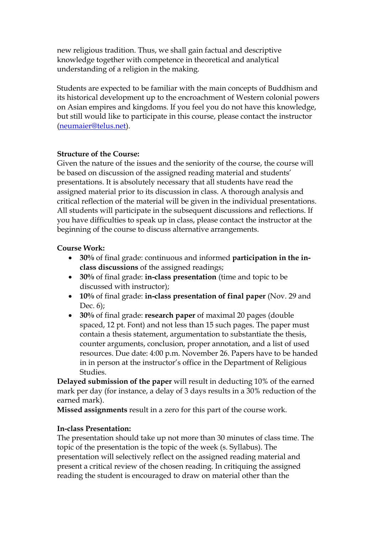new religious tradition. Thus, we shall gain factual and descriptive knowledge together with competence in theoretical and analytical understanding of a religion in the making.

Students are expected to be familiar with the main concepts of Buddhism and its historical development up to the encroachment of Western colonial powers on Asian empires and kingdoms. If you feel you do not have this knowledge, but still would like to participate in this course, please contact the instructor ([neumaier@telus.net\)](mailto:neumaier@telus.net).

## **Structure of the Course:**

Given the nature of the issues and the seniority of the course, the course will be based on discussion of the assigned reading material and students' presentations. It is absolutely necessary that all students have read the assigned material prior to its discussion in class. A thorough analysis and critical reflection of the material will be given in the individual presentations. All students will participate in the subsequent discussions and reflections. If you have difficulties to speak up in class, please contact the instructor at the beginning of the course to discuss alternative arrangements.

### **Course Work:**

- **30%** of final grade: continuous and informed **participation in the inclass discussions** of the assigned readings;
- **30%** of final grade: **in-class presentation** (time and topic to be discussed with instructor);
- **10%** of final grade: **in-class presentation of final paper** (Nov. 29 and Dec. 6);
- **30%** of final grade: **research paper** of maximal 20 pages (double spaced, 12 pt. Font) and not less than 15 such pages. The paper must contain a thesis statement, argumentation to substantiate the thesis, counter arguments, conclusion, proper annotation, and a list of used resources. Due date: 4:00 p.m. November 26. Papers have to be handed in in person at the instructor's office in the Department of Religious Studies.

**Delayed submission of the paper** will result in deducting 10% of the earned mark per day (for instance, a delay of 3 days results in a 30% reduction of the earned mark).

**Missed assignments** result in a zero for this part of the course work.

#### **In-class Presentation:**

The presentation should take up not more than 30 minutes of class time. The topic of the presentation is the topic of the week (s. Syllabus). The presentation will selectively reflect on the assigned reading material and present a critical review of the chosen reading. In critiquing the assigned reading the student is encouraged to draw on material other than the